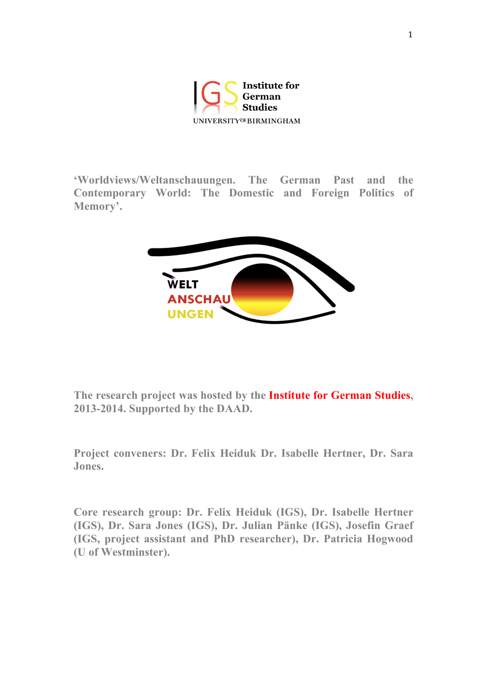

**'Worldviews/Weltanschauungen. The German Past and the Contemporary World: The Domestic and Foreign Politics of Memory'.**



**The research project was hosted by the Institute for German Studies, 2013-2014. Supported by the DAAD.**

**Project conveners: Dr. Felix Heiduk Dr. Isabelle Hertner, Dr. Sara Jones.** 

**Core research group: Dr. Felix Heiduk (IGS), Dr. Isabelle Hertner (IGS), Dr. Sara Jones (IGS), Dr. Julian Pänke (IGS), Josefin Graef (IGS, project assistant and PhD researcher), Dr. Patricia Hogwood (U of Westminster).**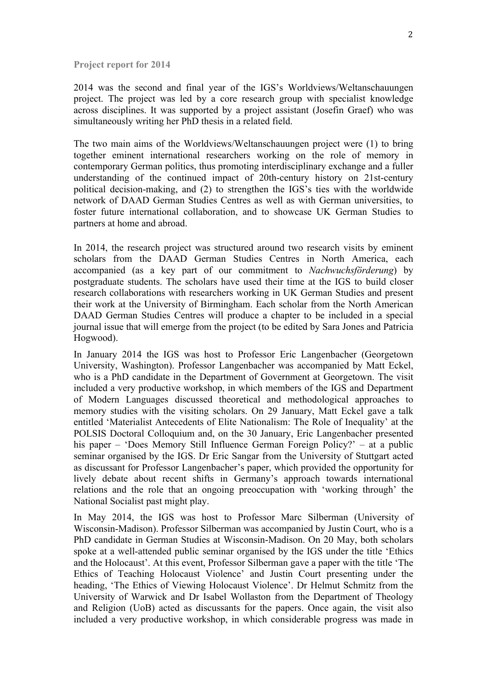**Project report for 2014**

2014 was the second and final year of the IGS's Worldviews/Weltanschauungen project. The project was led by a core research group with specialist knowledge across disciplines. It was supported by a project assistant (Josefin Graef) who was simultaneously writing her PhD thesis in a related field.

The two main aims of the Worldviews/Weltanschauungen project were (1) to bring together eminent international researchers working on the role of memory in contemporary German politics, thus promoting interdisciplinary exchange and a fuller understanding of the continued impact of 20th-century history on 21st-century political decision-making, and (2) to strengthen the IGS's ties with the worldwide network of DAAD German Studies Centres as well as with German universities, to foster future international collaboration, and to showcase UK German Studies to partners at home and abroad.

In 2014, the research project was structured around two research visits by eminent scholars from the DAAD German Studies Centres in North America, each accompanied (as a key part of our commitment to *Nachwuchsförderung*) by postgraduate students. The scholars have used their time at the IGS to build closer research collaborations with researchers working in UK German Studies and present their work at the University of Birmingham. Each scholar from the North American DAAD German Studies Centres will produce a chapter to be included in a special journal issue that will emerge from the project (to be edited by Sara Jones and Patricia Hogwood).

In January 2014 the IGS was host to Professor Eric Langenbacher (Georgetown University, Washington). Professor Langenbacher was accompanied by Matt Eckel, who is a PhD candidate in the Department of Government at Georgetown. The visit included a very productive workshop, in which members of the IGS and Department of Modern Languages discussed theoretical and methodological approaches to memory studies with the visiting scholars. On 29 January, Matt Eckel gave a talk entitled 'Materialist Antecedents of Elite Nationalism: The Role of Inequality' at the POLSIS Doctoral Colloquium and, on the 30 January, Eric Langenbacher presented his paper – 'Does Memory Still Influence German Foreign Policy?' – at a public seminar organised by the IGS. Dr Eric Sangar from the University of Stuttgart acted as discussant for Professor Langenbacher's paper, which provided the opportunity for lively debate about recent shifts in Germany's approach towards international relations and the role that an ongoing preoccupation with 'working through' the National Socialist past might play.

In May 2014, the IGS was host to Professor Marc Silberman (University of Wisconsin-Madison). Professor Silberman was accompanied by Justin Court, who is a PhD candidate in German Studies at Wisconsin-Madison. On 20 May, both scholars spoke at a well-attended public seminar organised by the IGS under the title 'Ethics and the Holocaust'. At this event, Professor Silberman gave a paper with the title 'The Ethics of Teaching Holocaust Violence' and Justin Court presenting under the heading, 'The Ethics of Viewing Holocaust Violence'. Dr Helmut Schmitz from the University of Warwick and Dr Isabel Wollaston from the Department of Theology and Religion (UoB) acted as discussants for the papers. Once again, the visit also included a very productive workshop, in which considerable progress was made in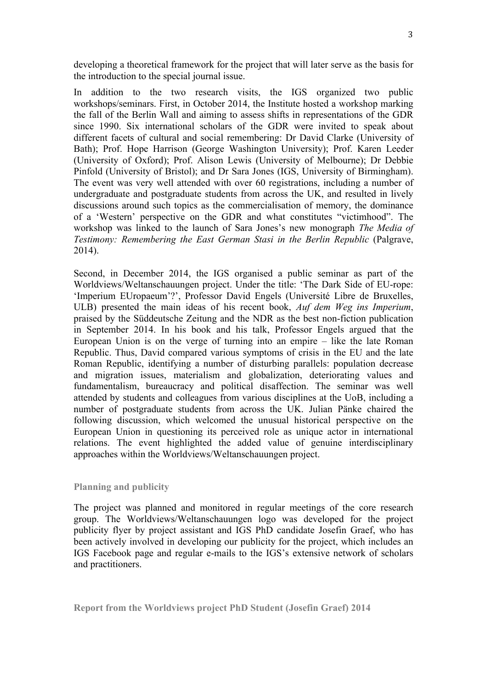developing a theoretical framework for the project that will later serve as the basis for the introduction to the special journal issue.

In addition to the two research visits, the IGS organized two public workshops/seminars. First, in October 2014, the Institute hosted a workshop marking the fall of the Berlin Wall and aiming to assess shifts in representations of the GDR since 1990. Six international scholars of the GDR were invited to speak about different facets of cultural and social remembering: Dr David Clarke (University of Bath); Prof. Hope Harrison (George Washington University); Prof. Karen Leeder (University of Oxford); Prof. Alison Lewis (University of Melbourne); Dr Debbie Pinfold (University of Bristol); and Dr Sara Jones (IGS, University of Birmingham). The event was very well attended with over 60 registrations, including a number of undergraduate and postgraduate students from across the UK, and resulted in lively discussions around such topics as the commercialisation of memory, the dominance of a 'Western' perspective on the GDR and what constitutes "victimhood". The workshop was linked to the launch of Sara Jones's new monograph *The Media of Testimony: Remembering the East German Stasi in the Berlin Republic (Palgrave,* 2014).

Second, in December 2014, the IGS organised a public seminar as part of the Worldviews/Weltanschauungen project. Under the title: 'The Dark Side of EU-rope: 'Imperium EUropaeum'?', Professor David Engels (Université Libre de Bruxelles, ULB) presented the main ideas of his recent book, *Auf dem Weg ins Imperium*, praised by the Süddeutsche Zeitung and the NDR as the best non-fiction publication in September 2014. In his book and his talk, Professor Engels argued that the European Union is on the verge of turning into an empire – like the late Roman Republic. Thus, David compared various symptoms of crisis in the EU and the late Roman Republic, identifying a number of disturbing parallels: population decrease and migration issues, materialism and globalization, deteriorating values and fundamentalism, bureaucracy and political disaffection. The seminar was well attended by students and colleagues from various disciplines at the UoB, including a number of postgraduate students from across the UK. Julian Pänke chaired the following discussion, which welcomed the unusual historical perspective on the European Union in questioning its perceived role as unique actor in international relations. The event highlighted the added value of genuine interdisciplinary approaches within the Worldviews/Weltanschauungen project.

## **Planning and publicity**

The project was planned and monitored in regular meetings of the core research group. The Worldviews/Weltanschauungen logo was developed for the project publicity flyer by project assistant and IGS PhD candidate Josefin Graef, who has been actively involved in developing our publicity for the project, which includes an IGS Facebook page and regular e-mails to the IGS's extensive network of scholars and practitioners.

**Report from the Worldviews project PhD Student (Josefin Graef) 2014**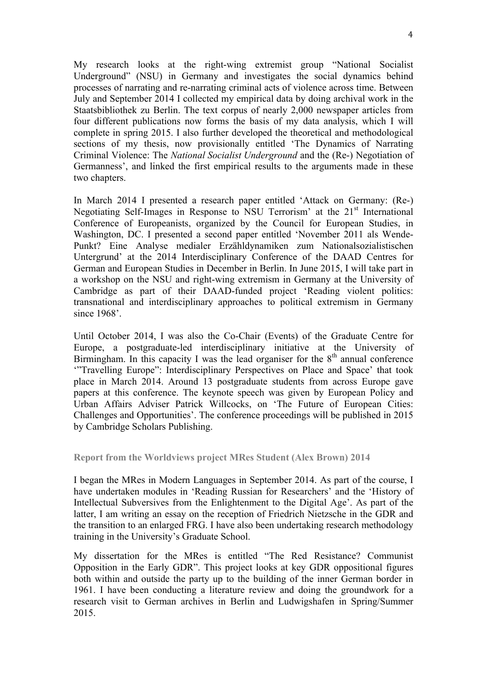My research looks at the right-wing extremist group "National Socialist Underground" (NSU) in Germany and investigates the social dynamics behind processes of narrating and re-narrating criminal acts of violence across time. Between July and September 2014 I collected my empirical data by doing archival work in the Staatsbibliothek zu Berlin. The text corpus of nearly 2,000 newspaper articles from four different publications now forms the basis of my data analysis, which I will complete in spring 2015. I also further developed the theoretical and methodological sections of my thesis, now provisionally entitled 'The Dynamics of Narrating Criminal Violence: The *National Socialist Underground* and the (Re-) Negotiation of Germanness', and linked the first empirical results to the arguments made in these two chapters.

In March 2014 I presented a research paper entitled 'Attack on Germany: (Re-) Negotiating Self-Images in Response to NSU Terrorism' at the 21<sup>st</sup> International Conference of Europeanists, organized by the Council for European Studies, in Washington, DC. I presented a second paper entitled 'November 2011 als Wende-Punkt? Eine Analyse medialer Erzähldynamiken zum Nationalsozialistischen Untergrund' at the 2014 Interdisciplinary Conference of the DAAD Centres for German and European Studies in December in Berlin. In June 2015, I will take part in a workshop on the NSU and right-wing extremism in Germany at the University of Cambridge as part of their DAAD-funded project 'Reading violent politics: transnational and interdisciplinary approaches to political extremism in Germany since 1968'.

Until October 2014, I was also the Co-Chair (Events) of the Graduate Centre for Europe, a postgraduate-led interdisciplinary initiative at the University of Birmingham. In this capacity I was the lead organiser for the  $8<sup>th</sup>$  annual conference '"Travelling Europe": Interdisciplinary Perspectives on Place and Space' that took place in March 2014. Around 13 postgraduate students from across Europe gave papers at this conference. The keynote speech was given by European Policy and Urban Affairs Adviser Patrick Willcocks, on 'The Future of European Cities: Challenges and Opportunities'. The conference proceedings will be published in 2015 by Cambridge Scholars Publishing.

## **Report from the Worldviews project MRes Student (Alex Brown) 2014**

I began the MRes in Modern Languages in September 2014. As part of the course, I have undertaken modules in 'Reading Russian for Researchers' and the 'History of Intellectual Subversives from the Enlightenment to the Digital Age'. As part of the latter, I am writing an essay on the reception of Friedrich Nietzsche in the GDR and the transition to an enlarged FRG. I have also been undertaking research methodology training in the University's Graduate School.

My dissertation for the MRes is entitled "The Red Resistance? Communist Opposition in the Early GDR". This project looks at key GDR oppositional figures both within and outside the party up to the building of the inner German border in 1961. I have been conducting a literature review and doing the groundwork for a research visit to German archives in Berlin and Ludwigshafen in Spring/Summer 2015.